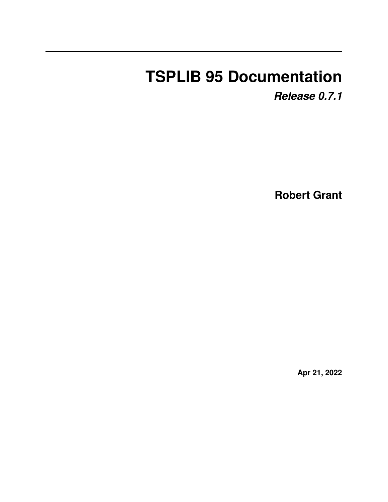# **TSPLIB 95 Documentation**

*Release 0.7.1*

**Robert Grant**

**Apr 21, 2022**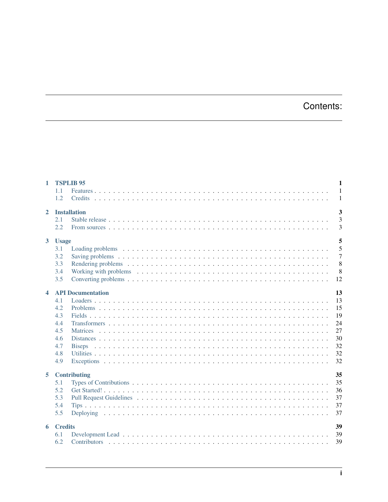# Contents:

| $\mathbf{1}$            | $\mathbf{1}$<br><b>TSPLIB 95</b> |                |  |  |
|-------------------------|----------------------------------|----------------|--|--|
|                         | 1.1                              | $\mathbf{1}$   |  |  |
|                         | 1.2<br><b>Credits</b>            | -1             |  |  |
| $\overline{2}$          | <b>Installation</b>              | 3              |  |  |
|                         | 2.1                              | $\overline{3}$ |  |  |
|                         | 2.2                              | 3              |  |  |
| $3^{\circ}$             | <b>Usage</b>                     | 5              |  |  |
|                         | 3.1                              | 5              |  |  |
|                         | 3.2                              | $\overline{7}$ |  |  |
|                         | 3.3                              | 8              |  |  |
|                         | 3.4                              | 8              |  |  |
|                         | 3.5                              | 12             |  |  |
|                         |                                  |                |  |  |
| $\overline{\mathbf{4}}$ | <b>API Documentation</b>         | 13             |  |  |
|                         | 4.1                              | 13             |  |  |
|                         | 4.2                              | 15             |  |  |
|                         | 4.3                              | 19             |  |  |
|                         | 4.4                              | 24             |  |  |
|                         | 4.5                              | 27             |  |  |
|                         | 4.6                              | 3 <sub>0</sub> |  |  |
|                         | 4.7<br><b>Biseps</b>             | 32             |  |  |
|                         | 4.8                              | 32             |  |  |
|                         | 4.9                              | 32             |  |  |
| 5                       | Contributing                     | 35             |  |  |
|                         | 5.1                              | 35             |  |  |
|                         | 5.2                              | 36             |  |  |
|                         | 5.3                              | 37             |  |  |
|                         | 5.4                              | 37             |  |  |
|                         | 5.5                              | 37             |  |  |
| 6                       | <b>Credits</b>                   | 39             |  |  |
|                         | 6.1                              | 39             |  |  |
|                         | 6.2                              | 39             |  |  |
|                         |                                  |                |  |  |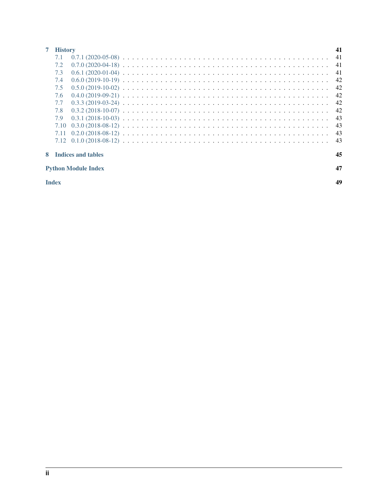| 41<br><b>History</b>       |  |    |  |
|----------------------------|--|----|--|
| 7.1                        |  | 41 |  |
| 7.2                        |  | 41 |  |
| 7.3                        |  | 41 |  |
| 7.4                        |  | 42 |  |
| 7.5                        |  | 42 |  |
| 7.6                        |  | 42 |  |
| 7.7                        |  | 42 |  |
| 7.8                        |  | 42 |  |
| 7.9                        |  | 43 |  |
| 7.10                       |  | 43 |  |
| 7.11                       |  | 43 |  |
|                            |  | 43 |  |
| Indices and tables         |  |    |  |
| <b>Python Module Index</b> |  |    |  |
| <b>Index</b>               |  |    |  |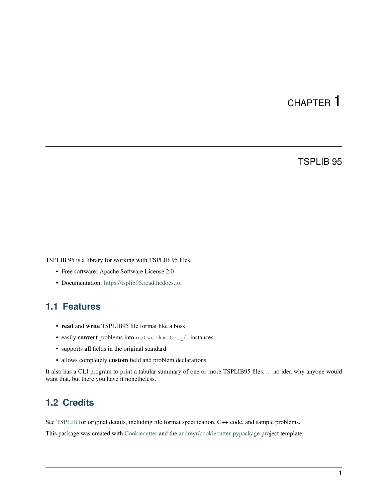# CHAPTER<sup>1</sup>

### TSPLIB 95

<span id="page-4-0"></span>TSPLIB 95 is a library for working with TSPLIB 95 files.

- Free software: Apache Software License 2.0
- Documentation: [https://tsplib95.readthedocs.io.](https://tsplib95.readthedocs.io)

### <span id="page-4-1"></span>**1.1 Features**

- read and write TSPLIB95 file format like a boss
- easily convert problems into networkx.Graph instances
- supports all fields in the original standard
- allows completely custom field and problem declarations

It also has a CLI program to print a tabular summary of one or more TSPLIB95 files. . . no idea why anyone would want that, but there you have it nonetheless.

### <span id="page-4-2"></span>**1.2 Credits**

See [TSPLIB](http://comopt.ifi.uni-heidelberg.de/software/TSPLIB95/) for original details, including file format specification, C++ code, and sample problems.

This package was created with [Cookiecutter](https://github.com/audreyr/cookiecutter) and the [audreyr/cookiecutter-pypackage](https://github.com/audreyr/cookiecutter-pypackage) project template.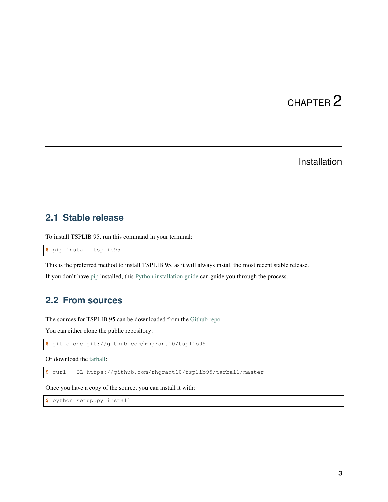# CHAPTER 2

## Installation

### <span id="page-6-1"></span><span id="page-6-0"></span>**2.1 Stable release**

To install TSPLIB 95, run this command in your terminal:

**\$** pip install tsplib95

This is the preferred method to install TSPLIB 95, as it will always install the most recent stable release.

If you don't have [pip](https://pip.pypa.io) installed, this [Python installation guide](http://docs.python-guide.org/en/latest/starting/installation/) can guide you through the process.

### <span id="page-6-2"></span>**2.2 From sources**

The sources for TSPLIB 95 can be downloaded from the [Github repo.](https://github.com/rhgrant10/tsplib95)

You can either clone the public repository:

**\$** git clone git://github.com/rhgrant10/tsplib95

Or download the [tarball:](https://github.com/rhgrant10/tsplib95/tarball/master)

**\$** curl -OL https://github.com/rhgrant10/tsplib95/tarball/master

Once you have a copy of the source, you can install it with:

```
$ python setup.py install
```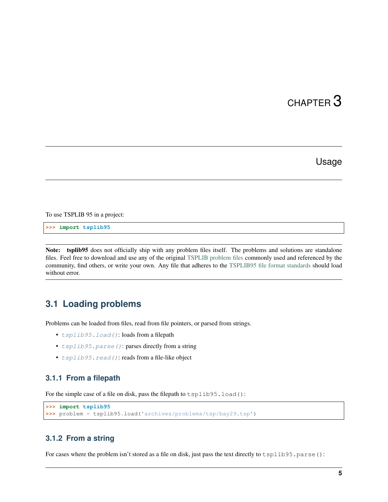# CHAPTER 3

### Usage

<span id="page-8-0"></span>To use TSPLIB 95 in a project:

**>>> import tsplib95**

Note: tsplib95 does not officially ship with any problem files itself. The problems and solutions are standalone files. Feel free to download and use any of the original [TSPLIB problem files](http://comopt.ifi.uni-heidelberg.de/software/TSPLIB95/tsp/ALL_tsp.tar.gz) commonly used and referenced by the community, find others, or write your own. Any file that adheres to the [TSPLIB95 file format standards](http://comopt.ifi.uni-heidelberg.de/software/TSPLIB95/tsp95.pdf) should load without error.

### <span id="page-8-1"></span>**3.1 Loading problems**

Problems can be loaded from files, read from file pointers, or parsed from strings.

- $tsplib95.load()$ : loads from a filepath
- [tsplib95.parse\(\)](#page-17-0): parses directly from a string
- $tsplib95$ .  $read()$ : reads from a file-like object

#### **3.1.1 From a filepath**

For the simple case of a file on disk, pass the filepath to tsplib95.load():

```
>>> import tsplib95
>>> problem = tsplib95.load('archives/problems/tsp/bay29.tsp')
```
### **3.1.2 From a string**

For cases where the problem isn't stored as a file on disk, just pass the text directly to tsplib95.parse():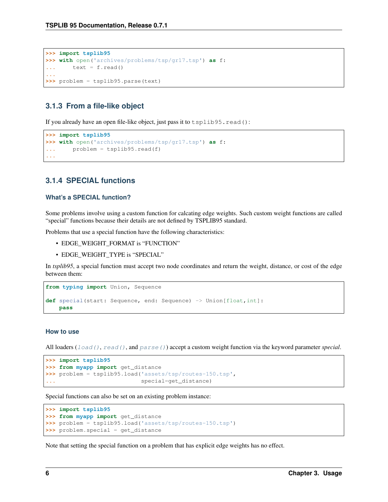```
>>> import tsplib95
>>> with open('archives/problems/tsp/gr17.tsp') as f:
... text = f.read()
...
>>> problem = tsplib95.parse(text)
```
### **3.1.3 From a file-like object**

If you already have an open file-like object, just pass it to tsplib95.read():

```
>>> import tsplib95
>>> with open('archives/problems/tsp/gr17.tsp') as f:
... problem = tsplib95.read(f)
...
```
### <span id="page-9-0"></span>**3.1.4 SPECIAL functions**

#### **What's a SPECIAL function?**

Some problems involve using a custom function for calcating edge weights. Such custom weight functions are called "special" functions because their details are not defined by TSPLIB95 standard.

Problems that use a special function have the following characteristics:

- EDGE\_WEIGHT\_FORMAT is "FUNCTION"
- EDGE\_WEIGHT\_TYPE is "SPECIAL"

In *tsplib95*, a special function must accept two node coordinates and return the weight, distance, or cost of the edge between them:

```
from typing import Union, Sequence
def special(start: Sequence, end: Sequence) -> Union[float,int]:
   pass
```
#### **How to use**

All loaders ([load\(\)](#page-16-2), [read\(\)](#page-17-1), and [parse\(\)](#page-17-0)) accept a custom weight function via the keyword parameter *special*.

```
>>> import tsplib95
>>> from myapp import get_distance
>>> problem = tsplib95.load('assets/tsp/routes-150.tsp',
                             ... special=get_distance)
```
Special functions can also be set on an existing problem instance:

```
>>> import tsplib95
>>> from myapp import get_distance
>>> problem = tsplib95.load('assets/tsp/routes-150.tsp')
>>> problem.special = get_distance
```
Note that setting the special function on a problem that has explicit edge weights has no effect.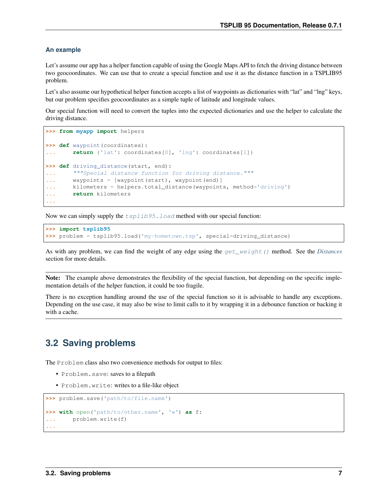#### **An example**

Let's assume our app has a helper function capable of using the Google Maps API to fetch the driving distance between two geocoordinates. We can use that to create a special function and use it as the distance function in a TSPLIB95 problem.

Let's also assume our hypothetical helper function accepts a list of waypoints as dictionaries with "lat" and "lng" keys, but our problem specifies geocoordinates as a simple tuple of latitude and longitude values.

Our special function will need to convert the tuples into the expected dictionaries and use the helper to calculate the driving distance.

```
>>> from myapp import helpers
>>> def waypoint(coordinates):
... return {'lat': coordinates[0], 'lng': coordinates[1]}
>>> def driving_distance(start, end):
... """Special distance function for driving distance."""
... waypoints = [waypoint(start), waypoint(end)]
... kilometers = helpers.total_distance(waypoints, method='driving')
... return kilometers
...
```
Now we can simply supply the  $tsplib95$ . load method with our special function:

**>>> import tsplib95 >>>** problem = tsplib95.load('my-hometown.tsp', special=driving\_distance)

As with any problem, we can find the weight of any edge using the [get\\_weight\(\)](#page-21-0) method. See the *[Distances](#page-13-0)* section for more details.

Note: The example above demonstrates the flexibility of the special function, but depending on the specific implementation details of the helper function, it could be too fragile.

There is no exception handling around the use of the special function so it is advisable to handle any exceptions. Depending on the use case, it may also be wise to limit calls to it by wrapping it in a debounce function or backing it with a cache.

### <span id="page-10-0"></span>**3.2 Saving problems**

The Problem class also two convenience methods for output to files:

- Problem.save: saves to a filepath
- Problem.write: writes to a file-like object

```
>>> problem.save('path/to/file.name')
>>> with open('path/to/other.name', 'w') as f:
... problem.write(f)
...
```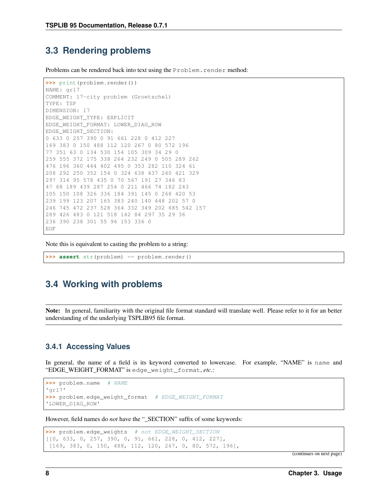### <span id="page-11-0"></span>**3.3 Rendering problems**

Problems can be rendered back into text using the Problem. render method:

```
>>> print(problem.render())
NAME: gr17
COMMENT: 17-city problem (Groetschel)
TYPE: TSP
DIMENSION: 17
EDGE_WEIGHT_TYPE: EXPLICIT
EDGE_WEIGHT_FORMAT: LOWER_DIAG_ROW
EDGE_WEIGHT_SECTION:
0 633 0 257 390 0 91 661 228 0 412 227
169 383 0 150 488 112 120 267 0 80 572 196
77 351 63 0 134 530 154 105 309 34 29 0
259 555 372 175 338 264 232 249 0 505 289 262
476 196 360 444 402 495 0 353 282 110 324 61
208 292 250 352 154 0 324 638 437 240 421 329
297 314 95 578 435 0 70 567 191 27 346 83
47 68 189 439 287 254 0 211 466 74 182 243
105 150 108 326 336 184 391 145 0 268 420 53
239 199 123 207 165 383 240 140 448 202 57 0
246 745 472 237 528 364 332 349 202 685 542 157
289 426 483 0 121 518 142 84 297 35 29 36
236 390 238 301 55 96 153 336 0
EOF
```
Note this is equivalent to casting the problem to a string:

**>>> assert** str(problem) == problem.render()

### <span id="page-11-1"></span>**3.4 Working with problems**

Note: In general, familiarity with the original file format standard will translate well. Please refer to it for an better understanding of the underlying TSPLIB95 file format.

#### **3.4.1 Accessing Values**

In general, the name of a field is its keyword converted to lowercase. For example, "NAME" is name and "EDGE\_WEIGHT\_FORMAT" is edge\_weight\_format, *etc.*:

```
>>> problem.name # NAME
'gr17'
>>> problem.edge_weight_format # EDGE_WEIGHT_FORMAT
'LOWER_DIAG_ROW'
```
However, field names do *not* have the "\_SECTION" suffix of some keywords:

```
>>> problem.edge_weights # not EDGE_WEIGHT_SECTION
[[0, 633, 0, 257, 390, 0, 91, 661, 228, 0, 412, 227],
[169, 383, 0, 150, 488, 112, 120, 267, 0, 80, 572, 196],
```
(continues on next page)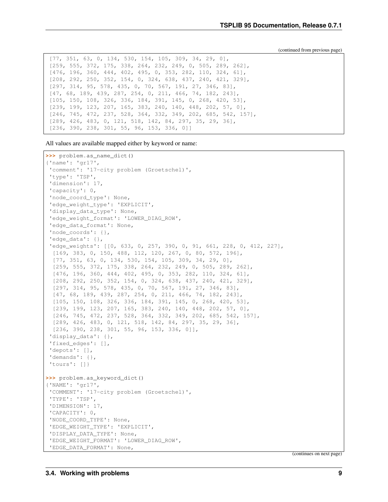(continued from previous page)

```
[77, 351, 63, 0, 134, 530, 154, 105, 309, 34, 29, 0],
[259, 555, 372, 175, 338, 264, 232, 249, 0, 505, 289, 262],
[476, 196, 360, 444, 402, 495, 0, 353, 282, 110, 324, 61],
[208, 292, 250, 352, 154, 0, 324, 638, 437, 240, 421, 329],
[297, 314, 95, 578, 435, 0, 70, 567, 191, 27, 346, 83],
[47, 68, 189, 439, 287, 254, 0, 211, 466, 74, 182, 243],
[105, 150, 108, 326, 336, 184, 391, 145, 0, 268, 420, 53],
[239, 199, 123, 207, 165, 383, 240, 140, 448, 202, 57, 0],
[246, 745, 472, 237, 528, 364, 332, 349, 202, 685, 542, 157],
[289, 426, 483, 0, 121, 518, 142, 84, 297, 35, 29, 36],
[236, 390, 238, 301, 55, 96, 153, 336, 0]]
```
All values are available mapped either by keyword or name:

```
>>> problem.as_name_dict()
{'name': 'gr17',
 'comment': '17-city problem (Groetschel)',
 'type': 'TSP',
 'dimension': 17,
 'capacity': 0,
 'node_coord_type': None,
 'edge_weight_type': 'EXPLICIT',
 'display_data_type': None,
 'edge_weight_format': 'LOWER_DIAG_ROW',
 'edge_data_format': None,
 'node_coords': {},
 'edge_data': {},
 'edge weights': [[0, 633, 0, 257, 390, 0, 91, 661, 228, 0, 412, 227],
  [169, 383, 0, 150, 488, 112, 120, 267, 0, 80, 572, 196],
  [77, 351, 63, 0, 134, 530, 154, 105, 309, 34, 29, 0],
  [259, 555, 372, 175, 338, 264, 232, 249, 0, 505, 289, 262],
  [476, 196, 360, 444, 402, 495, 0, 353, 282, 110, 324, 61],
  [208, 292, 250, 352, 154, 0, 324, 638, 437, 240, 421, 329],
  [297, 314, 95, 578, 435, 0, 70, 567, 191, 27, 346, 83],
  [47, 68, 189, 439, 287, 254, 0, 211, 466, 74, 182, 243],
  [105, 150, 108, 326, 336, 184, 391, 145, 0, 268, 420, 53],
  [239, 199, 123, 207, 165, 383, 240, 140, 448, 202, 57, 0],
  [246, 745, 472, 237, 528, 364, 332, 349, 202, 685, 542, 157],
  [289, 426, 483, 0, 121, 518, 142, 84, 297, 35, 29, 36],
  [236, 390, 238, 301, 55, 96, 153, 336, 0]],
 'display data': {},
 'fixed_edges': [],
 'depots': [],
 'demands': {},
 'tours': []}
>>> problem.as_keyword_dict()
{'NAME': 'gr17',
 'COMMENT': '17-city problem (Groetschel)',
 'TYPE': 'TSP',
 'DIMENSION': 17,
 'CAPACITY': 0,
'NODE_COORD_TYPE': None,
 'EDGE_WEIGHT_TYPE': 'EXPLICIT',
 'DISPLAY_DATA_TYPE': None,
 'EDGE_WEIGHT_FORMAT': 'LOWER_DIAG_ROW',
 'EDGE_DATA_FORMAT': None,
```
(continues on next page)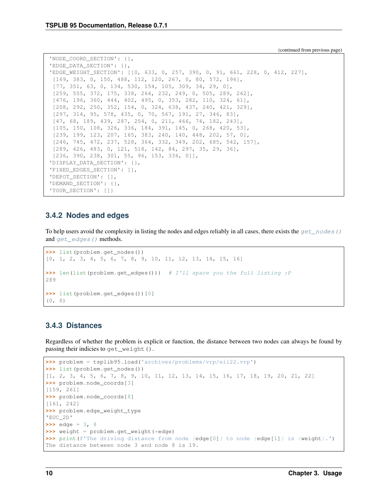(continued from previous page)

```
'NODE_COORD_SECTION': {},
'EDGE_DATA_SECTION': {},
'EDGE_WEIGHT_SECTION': [[0, 633, 0, 257, 390, 0, 91, 661, 228, 0, 412, 227],
 [169, 383, 0, 150, 488, 112, 120, 267, 0, 80, 572, 196],
 [77, 351, 63, 0, 134, 530, 154, 105, 309, 34, 29, 0],
 [259, 555, 372, 175, 338, 264, 232, 249, 0, 505, 289, 262],
 [476, 196, 360, 444, 402, 495, 0, 353, 282, 110, 324, 61],
 [208, 292, 250, 352, 154, 0, 324, 638, 437, 240, 421, 329],
 [297, 314, 95, 578, 435, 0, 70, 567, 191, 27, 346, 83],
 [47, 68, 189, 439, 287, 254, 0, 211, 466, 74, 182, 243],
 [105, 150, 108, 326, 336, 184, 391, 145, 0, 268, 420, 53],
 [239, 199, 123, 207, 165, 383, 240, 140, 448, 202, 57, 0],
 [246, 745, 472, 237, 528, 364, 332, 349, 202, 685, 542, 157],
 [289, 426, 483, 0, 121, 518, 142, 84, 297, 35, 29, 36],
 [236, 390, 238, 301, 55, 96, 153, 336, 0]],
'DISPLAY_DATA_SECTION': {},
'FIXED_EDGES_SECTION': [],
'DEPOT_SECTION': [],
'DEMAND_SECTION': {},
'TOUR_SECTION': []}
```
### **3.4.2 Nodes and edges**

To help users avoid the complexity in listing the nodes and edges reliably in all cases, there exists the  $qet$  nodes () and get edges () methods.

```
>>> list(problem.get_nodes())
[0, 1, 2, 3, 4, 5, 6, 7, 8, 9, 10, 11, 12, 13, 14, 15, 16]
>>> len(list(problem.get_edges())) # I'll spare you the full listing :P
289
>>> list(problem.get_edges())[0]
(0, 0)
```
### <span id="page-13-0"></span>**3.4.3 Distances**

Regardless of whether the problem is explicit or function, the distance between two nodes can always be found by passing their indicies to get\_weight().

```
>>> problem = tsplib95.load('archives/problems/vrp/eil22.vrp')
>>> list(problem.get_nodes())
[1, 2, 3, 4, 5, 6, 7, 8, 9, 10, 11, 12, 13, 14, 15, 16, 17, 18, 19, 20, 21, 22]
>>> problem.node_coords[3]
[159, 261]
>>> problem.node_coords[8]
[161, 242]
>>> problem.edge_weight_type
'EUC_2D'
>>> edge = 3, 8
>>> weight = problem.get_weight(*edge)
>>> print(f'The driving distance from node {edge[0]} to node {edge[1]} is {weight}.')
The distance between node 3 and node 8 is 19.
```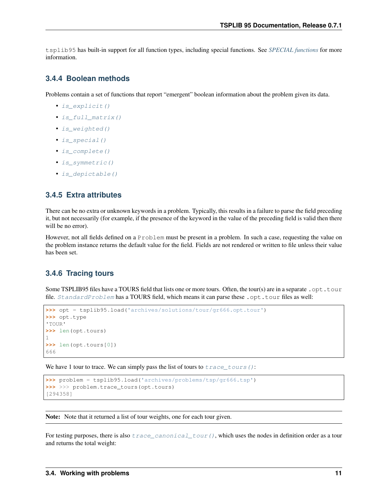tsplib95 has built-in support for all function types, including special functions. See *[SPECIAL functions](#page-9-0)* for more information.

### **3.4.4 Boolean methods**

Problems contain a set of functions that report "emergent" boolean information about the problem given its data.

- is explicit()
- [is\\_full\\_matrix\(\)](#page-21-2)
- [is\\_weighted\(\)](#page-22-1)
- [is\\_special\(\)](#page-21-3)
- is complete()
- is symmetric()
- is depictable()

### **3.4.5 Extra attributes**

There can be no extra or unknown keywords in a problem. Typically, this results in a failure to parse the field preceding it, but not necessarily (for example, if the presence of the keyword in the value of the preceding field is valid then there will be no error).

However, not all fields defined on a Problem must be present in a problem. In such a case, requesting the value on the problem instance returns the default value for the field. Fields are not rendered or written to file unless their value has been set.

### **3.4.6 Tracing tours**

Some TSPLIB95 files have a TOURS field that lists one or more tours. Often, the tour(s) are in a separate .opt.tour file. *[StandardProblem](#page-19-0)* has a TOURS field, which means it can parse these .opt.tour files as well:

```
>>> opt = tsplib95.load('archives/solutions/tour/gr666.opt.tour')
>>> opt.type
'TOUR'
>>> len(opt.tours)
1
>>> len(opt.tours[0])
666
```
We have 1 tour to trace. We can simply pass the list of tours to  $trace\_tours()$ :

```
>>> problem = tsplib95.load('archives/problems/tsp/gr666.tsp')
>>> >>> problem.trace_tours(opt.tours)
[294358]
```
Note: Note that it returned a list of tour weights, one for each tour given.

For testing purposes, there is also  $trace\_canonical\_tour()$ , which uses the nodes in definition order as a tour and returns the total weight: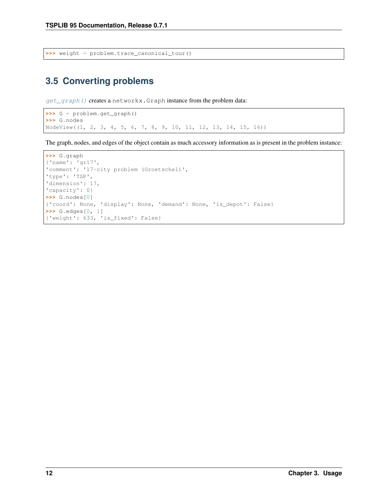**>>>** weight = problem.trace\_canonical\_tour()

# <span id="page-15-0"></span>**3.5 Converting problems**

[get\\_graph\(\)](#page-20-2) creates a networkx.Graph instance from the problem data:

```
>>> G = problem.get_graph()
>>> G.nodes
NodeView((1, 2, 3, 4, 5, 6, 7, 8, 9, 10, 11, 12, 13, 14, 15, 16))
```
The graph, nodes, and edges of the object contain as much accessory information as is present in the problem instance:

```
>>> G.graph
{'name': 'gr17',
'comment': '17-city problem (Groetschel)',
'type': 'TSP',
'dimension': 17,
'capacity': 0}
>>> G.nodes[0]
{'coord': None, 'display': None, 'demand': None, 'is_depot': False}
>>> G.edges[0, 1]
{'weight': 633, 'is_fixed': False}
```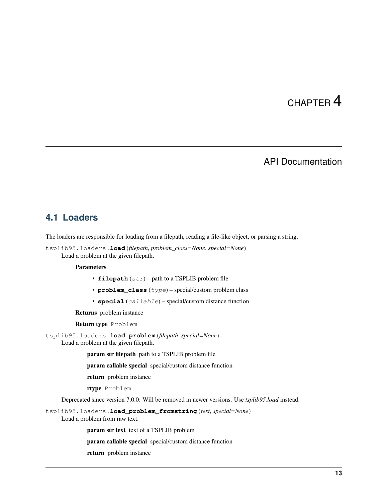# CHAPTER 4

### API Documentation

### <span id="page-16-4"></span><span id="page-16-1"></span><span id="page-16-0"></span>**4.1 Loaders**

The loaders are responsible for loading from a filepath, reading a file-like object, or parsing a string.

<span id="page-16-2"></span>tsplib95.loaders.**load**(*filepath*, *problem\_class=None*, *special=None*) Load a problem at the given filepath.

#### **Parameters**

- **filepath** (str) path to a TSPLIB problem file
- **problem\_class** (*type*) special/custom problem class
- **special** (callable) special/custom distance function

Returns problem instance

Return type Problem

<span id="page-16-3"></span>tsplib95.loaders.**load\_problem**(*filepath*, *special=None*) Load a problem at the given filepath.

param str filepath path to a TSPLIB problem file

param callable special special/custom distance function

return problem instance

rtype Problem

Deprecated since version 7.0.0: Will be removed in newer versions. Use *tsplib95.load* instead.

tsplib95.loaders.**load\_problem\_fromstring**(*text*, *special=None*)

Load a problem from raw text.

param str text text of a TSPLIB problem

param callable special special/custom distance function

return problem instance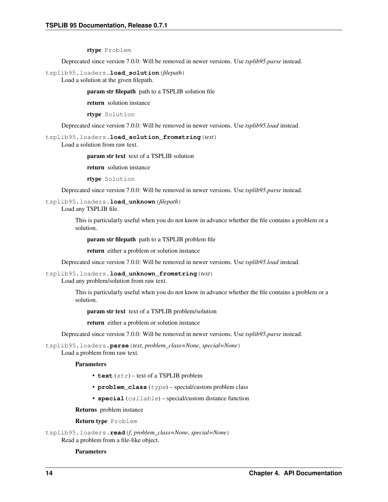#### rtype Problem

<span id="page-17-2"></span>Deprecated since version 7.0.0: Will be removed in newer versions. Use *tsplib95.parse* instead.

tsplib95.loaders.**load\_solution**(*filepath*)

Load a solution at the given filepath.

param str filepath path to a TSPLIB solution file

return solution instance

rtype Solution

Deprecated since version 7.0.0: Will be removed in newer versions. Use *tsplib95.load* instead.

#### tsplib95.loaders.**load\_solution\_fromstring**(*text*)

Load a solution from raw text.

param str text text of a TSPLIB solution

return solution instance

rtype Solution

Deprecated since version 7.0.0: Will be removed in newer versions. Use *tsplib95.parse* instead.

#### tsplib95.loaders.**load\_unknown**(*filepath*)

Load any TSPLIB file.

This is particularly useful when you do not know in advance whether the file contains a problem or a solution.

param str filepath path to a TSPLIB problem file

return either a problem or solution instance

Deprecated since version 7.0.0: Will be removed in newer versions. Use *tsplib95.load* instead.

#### tsplib95.loaders.**load\_unknown\_fromstring**(*text*)

Load any problem/solution from raw text.

This is particularly useful when you do not know in advance whether the file contains a problem or a solution.

param str text text of a TSPLIB problem/solution

return either a problem or solution instance

Deprecated since version 7.0.0: Will be removed in newer versions. Use *tsplib95.parse* instead.

<span id="page-17-0"></span>tsplib95.loaders.**parse**(*text*, *problem\_class=None*, *special=None*)

Load a problem from raw text.

#### Parameters

- **text** (str) text of a TSPLIB problem
- **problem\_class** (*type*) special/custom problem class
- **special** (callable) special/custom distance function

Returns problem instance

Return type Problem

<span id="page-17-1"></span>tsplib95.loaders.**read**(*f*, *problem\_class=None*, *special=None*) Read a problem from a file-like object.

#### Parameters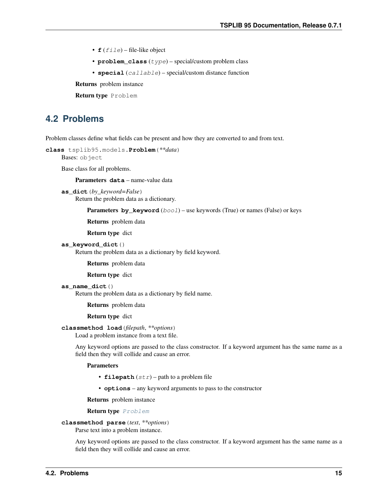- <span id="page-18-2"></span>•  $f(file)$  – file-like object
- **problem\_class** (*type*) special/custom problem class
- **special** (callable) special/custom distance function

Returns problem instance

Return type Problem

### <span id="page-18-0"></span>**4.2 Problems**

Problem classes define what fields can be present and how they are converted to and from text.

```
class tsplib95.models.Problem(**data)
```
Bases: object

Base class for all problems.

Parameters **data** – name-value data

```
as_dict(by_keyword=False)
     Return the problem data as a dictionary.
```
**Parameters by\_keyword** (bool) – use keywords (True) or names (False) or keys

Returns problem data

Return type dict

```
as_keyword_dict()
```
Return the problem data as a dictionary by field keyword.

Returns problem data

Return type dict

#### **as\_name\_dict**()

Return the problem data as a dictionary by field name.

Returns problem data

Return type dict

#### **classmethod load**(*filepath*, *\*\*options*)

Load a problem instance from a text file.

Any keyword options are passed to the class constructor. If a keyword argument has the same name as a field then they will collide and cause an error.

#### Parameters

- **filepath** (str) path to a problem file
- **options** any keyword arguments to pass to the constructor

Returns problem instance

Return type [Problem](#page-18-1)

#### **classmethod parse**(*text*, *\*\*options*)

Parse text into a problem instance.

Any keyword options are passed to the class constructor. If a keyword argument has the same name as a field then they will collide and cause an error.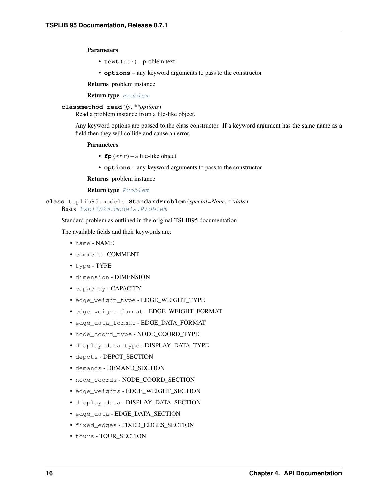#### <span id="page-19-1"></span>Parameters

- **text**  $(str)$  problem text
- **options** any keyword arguments to pass to the constructor

Returns problem instance

Return type [Problem](#page-18-1)

#### **classmethod read**(*fp*, *\*\*options*)

Read a problem instance from a file-like object.

Any keyword options are passed to the class constructor. If a keyword argument has the same name as a field then they will collide and cause an error.

#### Parameters

- **fp**  $(str)$  a file-like object
- **options** any keyword arguments to pass to the constructor

Returns problem instance

Return type [Problem](#page-18-1)

```
class tsplib95.models.StandardProblem(special=None, **data)
    Bases: tsplib95.models.Problem
```
Standard problem as outlined in the original TSLIB95 documentation.

The available fields and their keywords are:

- name NAME
- comment COMMENT
- type TYPE
- dimension DIMENSION
- capacity CAPACITY
- edge\_weight\_type EDGE\_WEIGHT\_TYPE
- edge\_weight\_format EDGE\_WEIGHT\_FORMAT
- edge\_data\_format EDGE\_DATA\_FORMAT
- node\_coord\_type NODE\_COORD\_TYPE
- display\_data\_type DISPLAY\_DATA\_TYPE
- depots DEPOT\_SECTION
- demands DEMAND\_SECTION
- node\_coords NODE\_COORD\_SECTION
- edge\_weights EDGE\_WEIGHT\_SECTION
- display\_data DISPLAY\_DATA\_SECTION
- edge\_data EDGE\_DATA\_SECTION
- fixed\_edges FIXED\_EDGES\_SECTION
- tours TOUR\_SECTION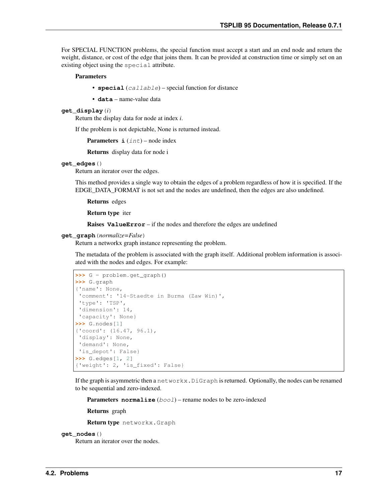<span id="page-20-3"></span>For SPECIAL FUNCTION problems, the special function must accept a start and an end node and return the weight, distance, or cost of the edge that joins them. It can be provided at construction time or simply set on an existing object using the special attribute.

#### Parameters

- **special** (callable) special function for distance
- **data** name-value data

#### **get\_display**(*i*)

Return the display data for node at index *i*.

If the problem is not depictable, None is returned instead.

**Parameters**  $\mathbf{i}$  ( $int$ ) – node index

Returns display data for node i

#### <span id="page-20-1"></span>**get\_edges**()

Return an iterator over the edges.

This method provides a single way to obtain the edges of a problem regardless of how it is specified. If the EDGE\_DATA\_FORMAT is not set and the nodes are undefined, then the edges are also undefined.

Returns edges

Return type iter

Raises **ValueError** – if the nodes and therefore the edges are undefined

#### <span id="page-20-2"></span>**get\_graph**(*normalize=False*)

Return a networkx graph instance representing the problem.

The metadata of the problem is associated with the graph itself. Additional problem information is associated with the nodes and edges. For example:

```
>>> G = problem.get_graph()
>>> G.graph
{'name': None,
 'comment': '14-Staedte in Burma (Zaw Win)',
'type': 'TSP',
'dimension': 14,
'capacity': None}
>>> G.nodes[1]
{'coord': (16.47, 96.1),
 'display': None,
 'demand': None,
 'is_depot': False}
>>> G.edges[1, 2]
{'weight': 2, 'is_fixed': False}
```
If the graph is asymmetric then a networkx. DiGraph is returned. Optionally, the nodes can be renamed to be sequential and zero-indexed.

**Parameters normalize** (bool) – rename nodes to be zero-indexed

Returns graph

Return type networkx.Graph

#### <span id="page-20-0"></span>**get\_nodes**()

Return an iterator over the nodes.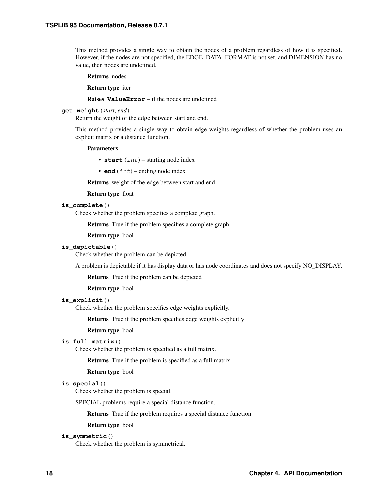<span id="page-21-7"></span>This method provides a single way to obtain the nodes of a problem regardless of how it is specified. However, if the nodes are not specified, the EDGE\_DATA\_FORMAT is not set, and DIMENSION has no value, then nodes are undefined.

Returns nodes

Return type iter

Raises **ValueError** – if the nodes are undefined

#### <span id="page-21-0"></span>**get\_weight**(*start*, *end*)

Return the weight of the edge between start and end.

This method provides a single way to obtain edge weights regardless of whether the problem uses an explicit matrix or a distance function.

#### Parameters

- **start**  $(int)$  starting node index
- $\bullet$  **end** (int) ending node index

Returns weight of the edge between start and end

#### Return type float

#### <span id="page-21-4"></span>**is\_complete**()

Check whether the problem specifies a complete graph.

Returns True if the problem specifies a complete graph

#### Return type bool

#### <span id="page-21-6"></span>**is\_depictable**()

Check whether the problem can be depicted.

A problem is depictable if it has display data or has node coordinates and does not specify NO\_DISPLAY.

Returns True if the problem can be depicted

Return type bool

#### <span id="page-21-1"></span>**is\_explicit**()

Check whether the problem specifies edge weights explicitly.

Returns True if the problem specifies edge weights explicitly

#### Return type bool

#### <span id="page-21-2"></span>**is\_full\_matrix**()

Check whether the problem is specified as a full matrix.

Returns True if the problem is specified as a full matrix

Return type bool

#### <span id="page-21-3"></span>**is\_special**()

Check whether the problem is special.

SPECIAL problems require a special distance function.

Returns True if the problem requires a special distance function

#### Return type bool

#### <span id="page-21-5"></span>**is\_symmetric**()

Check whether the problem is symmetrical.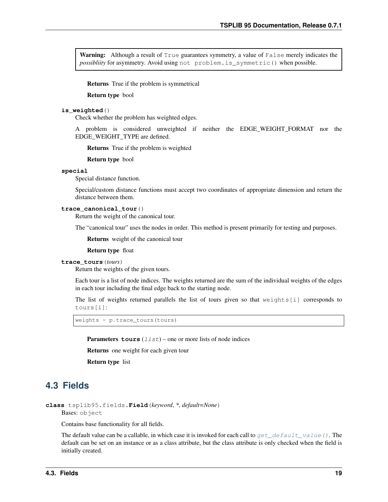<span id="page-22-5"></span>Warning: Although a result of True guarantees symmetry, a value of False merely indicates the *possibliity* for asymmetry. Avoid using not problem.is\_symmetric() when possible.

Returns True if the problem is symmetrical

Return type bool

#### <span id="page-22-1"></span>**is\_weighted**()

Check whether the problem has weighted edges.

A problem is considered unweighted if neither the EDGE\_WEIGHT\_FORMAT nor the EDGE\_WEIGHT\_TYPE are defined.

Returns True if the problem is weighted

Return type bool

#### **special**

Special distance function.

Special/custom distance functions must accept two coordinates of appropriate dimension and return the distance between them.

#### <span id="page-22-3"></span>**trace\_canonical\_tour**()

Return the weight of the canonical tour.

The "canonical tour" uses the nodes in order. This method is present primarily for testing and purposes.

Returns weight of the canonical tour

Return type float

#### <span id="page-22-2"></span>**trace\_tours**(*tours*)

Return the weights of the given tours.

Each tour is a list of node indices. The weights returned are the sum of the individual weights of the edges in each tour including the final edge back to the starting node.

The list of weights returned parallels the list of tours given so that weights[i] corresponds to tours[i]:

weights = p.trace\_tours(tours)

**Parameters**  $\tt{tours}$  (*list*) – one or more lists of node indices

Returns one weight for each given tour

Return type list

### <span id="page-22-0"></span>**4.3 Fields**

<span id="page-22-4"></span>**class** tsplib95.fields.**Field**(*keyword*, *\**, *default=None*) Bases: object

Contains base functionality for all fields.

The default value can be a callable, in which case it is invoked for each call to  $get\_default\_value()$ . The default can be set on an instance or as a class attribute, but the class attribute is only checked when the field is initially created.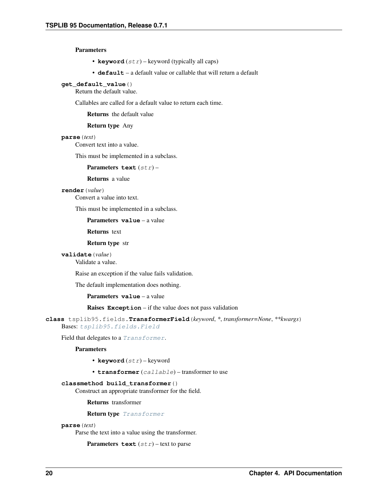#### <span id="page-23-2"></span>**Parameters**

- **keyword**  $(str)$  keyword (typically all caps)
- **default** a default value or callable that will return a default

#### <span id="page-23-0"></span>**get\_default\_value**()

Return the default value.

Callables are called for a default value to return each time.

Returns the default value

#### Return type Any

#### **parse**(*text*)

Convert text into a value.

This must be implemented in a subclass.

Parameters **text** (str) –

#### Returns a value

#### **render**(*value*)

Convert a value into text.

This must be implemented in a subclass.

Parameters **value** – a value

Returns text

#### Return type str

**validate**(*value*)

Validate a value.

Raise an exception if the value fails validation.

The default implementation does nothing.

Parameters **value** – a value

Raises **Exception** – if the value does not pass validation

<span id="page-23-1"></span>**class** tsplib95.fields.**TransformerField**(*keyword*, *\**, *transformer=None*, *\*\*kwargs*) Bases: [tsplib95.fields.Field](#page-22-4)

Field that delegates to a [Transformer](#page-27-1).

#### **Parameters**

- **keyword** (str) keyword
- **transformer** (callable) transformer to use

#### **classmethod build\_transformer**()

Construct an appropriate transformer for the field.

Returns transformer

Return type [Transformer](#page-27-1)

#### **parse**(*text*)

Parse the text into a value using the transformer.

**Parameters**  $\textbf{text}(str)$  **– text to parse**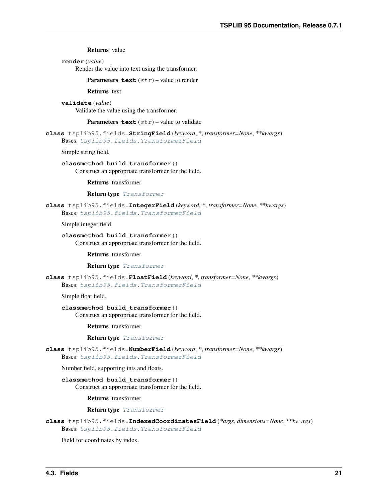Returns value

<span id="page-24-0"></span>**render**(*value*)

Render the value into text using the transformer.

**Parameters text**  $(str)$  – value to render

Returns text

**validate**(*value*) Validate the value using the transformer.

**Parameters text**  $(str)$  – value to validate

**class** tsplib95.fields.**StringField**(*keyword*, *\**, *transformer=None*, *\*\*kwargs*) Bases: [tsplib95.fields.TransformerField](#page-23-1)

Simple string field.

**classmethod build\_transformer**()

Construct an appropriate transformer for the field.

Returns transformer

Return type [Transformer](#page-27-1)

**class** tsplib95.fields.**IntegerField**(*keyword*, *\**, *transformer=None*, *\*\*kwargs*) Bases: [tsplib95.fields.TransformerField](#page-23-1)

Simple integer field.

**classmethod build\_transformer**() Construct an appropriate transformer for the field.

Returns transformer

Return type [Transformer](#page-27-1)

**class** tsplib95.fields.**FloatField**(*keyword*, *\**, *transformer=None*, *\*\*kwargs*) Bases: [tsplib95.fields.TransformerField](#page-23-1)

Simple float field.

**classmethod build\_transformer**()

Construct an appropriate transformer for the field.

Returns transformer

Return type [Transformer](#page-27-1)

**class** tsplib95.fields.**NumberField**(*keyword*, *\**, *transformer=None*, *\*\*kwargs*) Bases: [tsplib95.fields.TransformerField](#page-23-1)

Number field, supporting ints and floats.

**classmethod build\_transformer**()

Construct an appropriate transformer for the field.

Returns transformer

Return type [Transformer](#page-27-1)

**class** tsplib95.fields.**IndexedCoordinatesField**(*\*args*, *dimensions=None*, *\*\*kwargs*) Bases: [tsplib95.fields.TransformerField](#page-23-1)

Field for coordinates by index.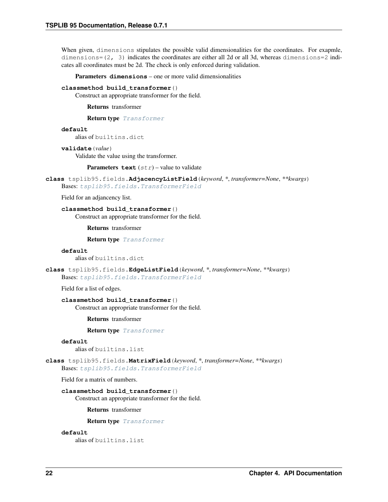<span id="page-25-0"></span>When given, dimensions stipulates the possible valid dimensionalities for the coordinates. For exapmle, dimensions= $(2, 3)$  indicates the coordinates are either all 2d or all 3d, whereas dimensions=2 indicates all coordinates must be 2d. The check is only enforced during validation.

Parameters **dimensions** – one or more valid dimensionalities

#### **classmethod build\_transformer**()

Construct an appropriate transformer for the field.

Returns transformer

Return type [Transformer](#page-27-1)

#### **default**

alias of builtins.dict

#### **validate**(*value*)

Validate the value using the transformer.

**Parameters text**  $(str)$  – value to validate

**class** tsplib95.fields.**AdjacencyListField**(*keyword*, *\**, *transformer=None*, *\*\*kwargs*) Bases: [tsplib95.fields.TransformerField](#page-23-1)

Field for an adjancency list.

**classmethod build\_transformer**() Construct an appropriate transformer for the field.

Returns transformer

Return type [Transformer](#page-27-1)

#### **default**

alias of builtins.dict

**class** tsplib95.fields.**EdgeListField**(*keyword*, *\**, *transformer=None*, *\*\*kwargs*) Bases: [tsplib95.fields.TransformerField](#page-23-1)

Field for a list of edges.

#### **classmethod build\_transformer**()

Construct an appropriate transformer for the field.

Returns transformer

Return type [Transformer](#page-27-1)

#### **default**

alias of builtins.list

**class** tsplib95.fields.**MatrixField**(*keyword*, *\**, *transformer=None*, *\*\*kwargs*) Bases: [tsplib95.fields.TransformerField](#page-23-1)

Field for a matrix of numbers.

#### **classmethod build\_transformer**()

Construct an appropriate transformer for the field.

Returns transformer

Return type [Transformer](#page-27-1)

#### **default**

alias of builtins.list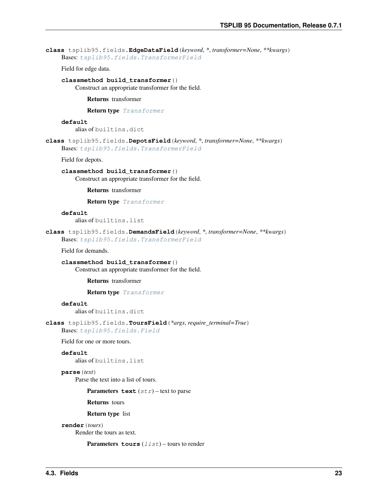<span id="page-26-0"></span>**class** tsplib95.fields.**EdgeDataField**(*keyword*, *\**, *transformer=None*, *\*\*kwargs*) Bases: [tsplib95.fields.TransformerField](#page-23-1)

Field for edge data.

**classmethod build\_transformer**()

Construct an appropriate transformer for the field.

Returns transformer

Return type [Transformer](#page-27-1)

#### **default**

alias of builtins.dict

**class** tsplib95.fields.**DepotsField**(*keyword*, *\**, *transformer=None*, *\*\*kwargs*)

Bases: [tsplib95.fields.TransformerField](#page-23-1)

Field for depots.

#### **classmethod build\_transformer**()

Construct an appropriate transformer for the field.

Returns transformer

Return type [Transformer](#page-27-1)

#### **default**

alias of builtins.list

```
class tsplib95.fields.DemandsField(keyword, *, transformer=None, **kwargs)
    Bases: tsplib95.fields.TransformerField
```
Field for demands.

**classmethod build\_transformer**() Construct an appropriate transformer for the field.

Returns transformer

Return type [Transformer](#page-27-1)

#### **default**

alias of builtins.dict

**class** tsplib95.fields.**ToursField**(*\*args*, *require\_terminal=True*) Bases: [tsplib95.fields.Field](#page-22-4)

Field for one or more tours.

#### **default**

alias of builtins.list

#### **parse**(*text*)

Parse the text into a list of tours.

**Parameters text**  $(str)$  – text to parse

Returns tours

Return type list

```
render(tours)
```
Render the tours as text.

```
Parameters tours (list) – tours to render
```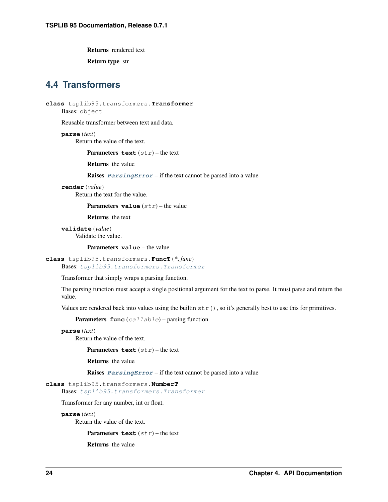<span id="page-27-2"></span>Returns rendered text

Return type str

### <span id="page-27-0"></span>**4.4 Transformers**

<span id="page-27-1"></span>**class** tsplib95.transformers.**Transformer**

Bases: object

Reusable transformer between text and data.

**parse**(*text*) Return the value of the text.

**Parameters**  $\textrm{text}(str)$  **– the text** 

Returns the value

Raises **[ParsingError](#page-35-3)** – if the text cannot be parsed into a value

**render**(*value*)

Return the text for the value.

**Parameters value**  $(str)$  – the value

Returns the text

**validate**(*value*) Validate the value.

Parameters **value** – the value

```
class tsplib95.transformers.FuncT(*, func)
```
Bases: [tsplib95.transformers.Transformer](#page-27-1)

Transformer that simply wraps a parsing function.

The parsing function must accept a single positional argument for the text to parse. It must parse and return the value.

Values are rendered back into values using the builtin  $str()$ , so it's generally best to use this for primitives.

Parameters **func** (callable) – parsing function

**parse**(*text*)

Return the value of the text.

**Parameters**  $\textbf{text}(str)$  **– the text** 

Returns the value

Raises **[ParsingError](#page-35-3)** – if the text cannot be parsed into a value

#### **class** tsplib95.transformers.**NumberT**

Bases: [tsplib95.transformers.Transformer](#page-27-1)

Transformer for any number, int or float.

```
parse(text)
```
Return the value of the text.

**Parameters**  $\textbf{text}(str)$  **– the text** 

Returns the value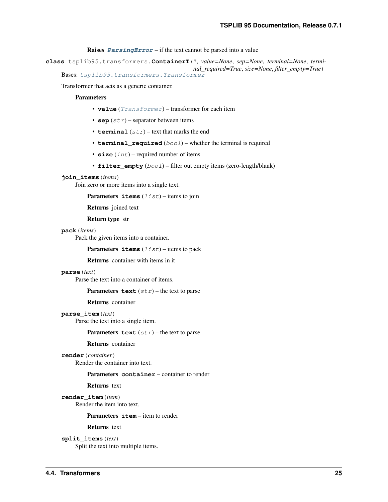Raises **[ParsingError](#page-35-3)** – if the text cannot be parsed into a value

<span id="page-28-1"></span><span id="page-28-0"></span>**class** tsplib95.transformers.**ContainerT**(*\**, *value=None*, *sep=None*, *terminal=None*, *terminal\_required=True*, *size=None*, *filter\_empty=True*) Bases: [tsplib95.transformers.Transformer](#page-27-1)

Transformer that acts as a generic container.

#### **Parameters**

- **value** ([Transformer](#page-27-1)) transformer for each item
- **sep**  $(str)$  separator between items
- **terminal**  $(str)$  text that marks the end
- **terminal\_required** (bool) whether the terminal is required
- **size** (*int*) required number of items
- **filter\_empty** (bool) filter out empty items (zero-length/blank)

#### **join\_items**(*items*)

Join zero or more items into a single text.

**Parameters items**  $(llist)$  – items to join

Returns joined text

Return type str

#### **pack**(*items*)

Pack the given items into a container.

**Parameters items**  $(llist)$  – items to pack

Returns container with items in it

#### **parse**(*text*)

Parse the text into a container of items.

#### **Parameters**  $\textbf{text}(str)$  **– the text to parse**

Returns container

#### **parse\_item**(*text*)

Parse the text into a single item.

#### **Parameters**  $\textbf{text}(str)$  **– the text to parse**

Returns container

#### **render**(*container*)

Render the container into text.

#### Parameters **container** – container to render

Returns text

**render\_item**(*item*) Render the item into text.

#### Parameters *item* – item to render

Returns text

**split\_items**(*text*) Split the text into multiple items.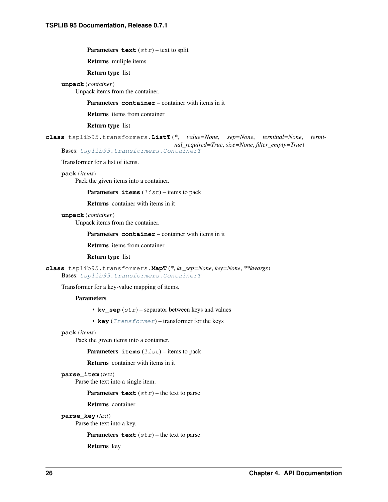<span id="page-29-0"></span>**Parameters**  $\textbf{text}(str)$  **– text to split** 

Returns muliple items

Return type list

**unpack**(*container*)

Unpack items from the container.

Parameters **container** – container with items in it

Returns items from container

Return type list

**class** tsplib95.transformers.**ListT**(*\**, *value=None*, *sep=None*, *terminal=None*, *terminal\_required=True*, *size=None*, *filter\_empty=True*) Bases: [tsplib95.transformers.ContainerT](#page-28-0)

Transformer for a list of items.

**pack**(*items*)

Pack the given items into a container.

**Parameters items**  $(llist)$  – items to pack

Returns container with items in it

**unpack**(*container*)

Unpack items from the container.

Parameters **container** – container with items in it

Returns items from container

Return type list

**class** tsplib95.transformers.**MapT**(*\**, *kv\_sep=None*, *key=None*, *\*\*kwargs*) Bases: [tsplib95.transformers.ContainerT](#page-28-0)

Transformer for a key-value mapping of items.

#### **Parameters**

- $kv\_sep$  ( $str$ ) separator between keys and values
- **key** ([Transformer](#page-27-1)) transformer for the keys

#### **pack**(*items*)

Pack the given items into a container.

**Parameters items**  $(llist)$  – items to pack

Returns container with items in it

#### **parse\_item**(*text*)

Parse the text into a single item.

**Parameters text**  $(str)$  – the text to parse

Returns container

**parse\_key**(*text*)

Parse the text into a key.

**Parameters text**  $(str)$  – the text to parse

Returns key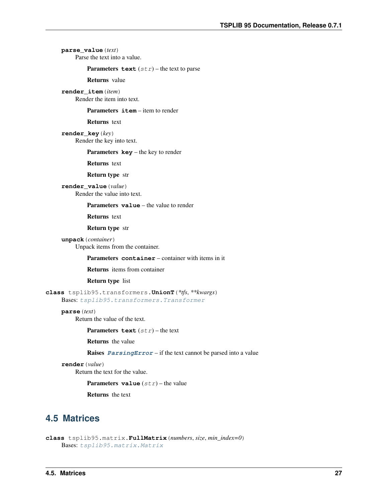### <span id="page-30-1"></span>**parse\_value**(*text*)

Parse the text into a value.

**Parameters text**  $(str)$  – the text to parse

Returns value

**render\_item**(*item*) Render the item into text.

#### Parameters *item* – item to render

Returns text

**render\_key**(*key*) Render the key into text.

#### Parameters **key** – the key to render

Returns text

#### Return type str

**render\_value**(*value*) Render the value into text.

Parameters **value** – the value to render

Returns text

#### Return type str

**unpack**(*container*) Unpack items from the container.

Parameters **container** – container with items in it

#### Returns items from container

#### Return type list

**class** tsplib95.transformers.**UnionT**(*\*tfs*, *\*\*kwargs*) Bases: [tsplib95.transformers.Transformer](#page-27-1)

#### **parse**(*text*)

Return the value of the text.

**Parameters**  $\textbf{text}(str)$  **– the text** 

Returns the value

Raises **[ParsingError](#page-35-3)** – if the text cannot be parsed into a value

#### **render**(*value*)

Return the text for the value.

**Parameters value**  $(str)$  – the value

Returns the text

### <span id="page-30-0"></span>**4.5 Matrices**

```
class tsplib95.matrix.FullMatrix(numbers, size, min_index=0)
    Bases: tsplib95.matrix.Matrix
```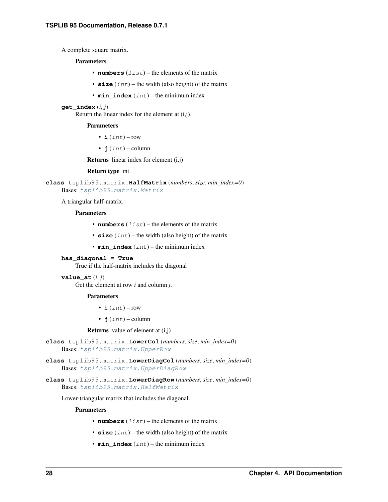<span id="page-31-2"></span>A complete square matrix.

#### **Parameters**

- **numbers**  $(llist)$  the elements of the matrix
- **size** (int) the width (also height) of the matrix
- **min\_index** (int) the minimum index

#### $get$   $index(i, j)$

Return the linear index for the element at (i,j).

#### Parameters

- $\mathbf{i}$  (int) row
- **j**  $(int)$  column

**Returns** linear index for element  $(i,j)$ 

#### Return type int

<span id="page-31-0"></span>**class** tsplib95.matrix.**HalfMatrix**(*numbers*, *size*, *min\_index=0*) Bases: [tsplib95.matrix.Matrix](#page-32-0)

A triangular half-matrix.

#### Parameters

- **numbers**  $(llist)$  the elements of the matrix
- **size** (*int*) the width (also height) of the matrix
- $\cdot$  min\_index  $(int)$  the minimum index

#### **has\_diagonal = True**

True if the half-matrix includes the diagonal

#### **value**  $at(i, j)$

Get the element at row *i* and column *j*.

#### Parameters

- $\mathbf{i}$  (int) row
- $\mathbf{j}$  (int) column

**Returns** value of element at  $(i, j)$ 

- **class** tsplib95.matrix.**LowerCol**(*numbers*, *size*, *min\_index=0*) Bases: [tsplib95.matrix.UpperRow](#page-33-1)
- **class** tsplib95.matrix.**LowerDiagCol**(*numbers*, *size*, *min\_index=0*) Bases: [tsplib95.matrix.UpperDiagRow](#page-33-2)
- <span id="page-31-1"></span>**class** tsplib95.matrix.**LowerDiagRow**(*numbers*, *size*, *min\_index=0*) Bases: [tsplib95.matrix.HalfMatrix](#page-31-0)

Lower-triangular matrix that includes the diagonal.

#### **Parameters**

- **numbers**  $(llist)$  the elements of the matrix
- $size(int)$  the width (also height) of the matrix
- $\cdot$  min\_index  $(int)$  the minimum index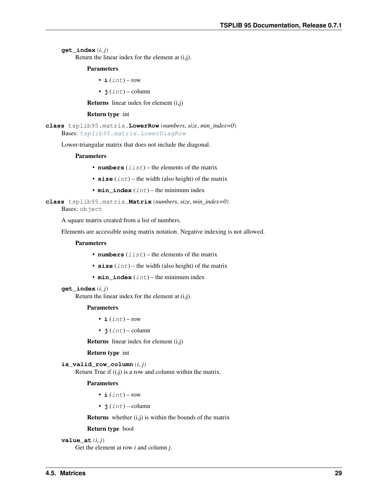<span id="page-32-2"></span> $get$   $index(i, j)$ 

Return the linear index for the element at (i,j).

#### Parameters

•  $\mathbf{i}$  (int) – row

•  $\mathbf{i}$  (int) – column

Returns linear index for element (i,j)

#### Return type int

<span id="page-32-1"></span>**class** tsplib95.matrix.**LowerRow**(*numbers*, *size*, *min\_index=0*) Bases: [tsplib95.matrix.LowerDiagRow](#page-31-1)

Lower-triangular matrix that does not include the diagonal.

#### **Parameters**

- **numbers**  $(llist)$  the elements of the matrix
- **size** (int) the width (also height) of the matrix
- **min\_index** (int) the minimum index

<span id="page-32-0"></span>**class** tsplib95.matrix.**Matrix**(*numbers*, *size*, *min\_index=0*) Bases: object

A square matrix created from a list of numbers.

Elements are accessible using matrix notation. Negative indexing is not allowed.

#### Parameters

- **numbers**  $(llist)$  the elements of the matrix
- $size(int)$  the width (also height) of the matrix
- $\cdot$  min\_index  $(int)$  the minimum index

#### **get\_index**(*i*, *j*)

Return the linear index for the element at (i,j).

#### Parameters

- $\mathbf{i}$  (int) row
- $\mathbf{j}$  (int) column

**Returns** linear index for element  $(i,j)$ 

#### Return type int

```
is valid row column (i, j)
```
Return True if (i,j) is a row and column within the matrix.

#### Parameters

- $\mathbf{i}$  (int) row
- $\cdot$  **j** (int) column

**Returns** whether  $(i, j)$  is within the bounds of the matrix

#### Return type bool

**value**  $at(i, j)$ 

Get the element at row *i* and column *j*.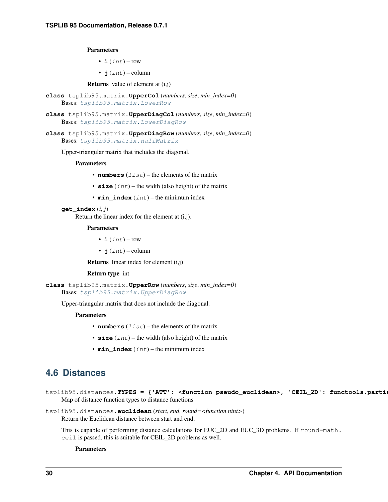<span id="page-33-3"></span>Parameters

- $i(int) row$
- $\mathbf{j}$  (int) column

**Returns** value of element at  $(i, j)$ 

- **class** tsplib95.matrix.**UpperCol**(*numbers*, *size*, *min\_index=0*) Bases: [tsplib95.matrix.LowerRow](#page-32-1)
- **class** tsplib95.matrix.**UpperDiagCol**(*numbers*, *size*, *min\_index=0*) Bases: [tsplib95.matrix.LowerDiagRow](#page-31-1)
- <span id="page-33-2"></span>**class** tsplib95.matrix.**UpperDiagRow**(*numbers*, *size*, *min\_index=0*) Bases: [tsplib95.matrix.HalfMatrix](#page-31-0)

Upper-triangular matrix that includes the diagonal.

#### **Parameters**

- **numbers**  $(llist)$  the elements of the matrix
- **size** (int) the width (also height) of the matrix
- **min\_index** (int) the minimum index

#### $get$   $index(i, j)$

Return the linear index for the element at (i,j).

#### Parameters

- $\mathbf{i}$  (int) row
- $j(int) column$

Returns linear index for element (i,j)

#### Return type int

```
class tsplib95.matrix.UpperRow(numbers, size, min_index=0)
    Bases: tsplib95.matrix.UpperDiagRow
```
Upper-triangular matrix that does not include the diagonal.

#### **Parameters**

- **numbers**  $(llist)$  the elements of the matrix
- **size** (int) the width (also height) of the matrix
- $min$  index  $(int)$  the minimum index

### <span id="page-33-0"></span>**4.6 Distances**

tsplib95.distances. TYPES = {'ATT': <function pseudo\_euclidean>, 'CEIL\_2D': functools.parti Map of distance function types to distance functions

tsplib95.distances.**euclidean**(*start*, *end*, *round=<function nint>*) Return the Euclidean distance between start and end.

This is capable of performing distance calculations for EUC\_2D and EUC\_3D problems. If round=math. ceil is passed, this is suitable for CEIL\_2D problems as well.

#### **Parameters**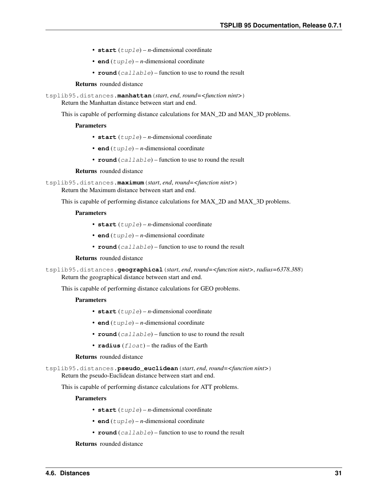- <span id="page-34-0"></span>•  $start(tuple) - n$ -dimensional coordinate
- **end**  $(tuple) n$ -dimensional coordinate
- **round** (callable) function to use to round the result

#### Returns rounded distance

tsplib95.distances.**manhattan**(*start*, *end*, *round=<function nint>*) Return the Manhattan distance between start and end.

This is capable of performing distance calculations for MAN\_2D and MAN\_3D problems.

#### **Parameters**

- start  $(tuple) n$ -dimensional coordinate
- **end**  $(tuple) n$ -dimensional coordinate
- **round** (callable) function to use to round the result

#### Returns rounded distance

tsplib95.distances.**maximum**(*start*, *end*, *round=<function nint>*)

Return the Maximum distance between start and end.

This is capable of performing distance calculations for MAX\_2D and MAX\_3D problems.

#### Parameters

- start  $(tuple) n$ -dimensional coordinate
- **end**  $(tuple) n$ -dimensional coordinate
- **round** (callable) function to use to round the result

#### Returns rounded distance

tsplib95.distances.**geographical**(*start*, *end*, *round=<function nint>*, *radius=6378.388*) Return the geographical distance between start and end.

This is capable of performing distance calculations for GEO problems.

#### Parameters

- start  $(tuple) n$ -dimensional coordinate
- **end**  $(tuple) n$ -dimensional coordinate
- **round** (callable) function to use to round the result
- **radius** (float) the radius of the Earth

#### Returns rounded distance

tsplib95.distances.**pseudo\_euclidean**(*start*, *end*, *round=<function nint>*) Return the pseudo-Euclidean distance between start and end.

This is capable of performing distance calculations for ATT problems.

#### **Parameters**

- **start**  $(tuple) n$ -dimensional coordinate
- **end**  $(tuple) n$ -dimensional coordinate
- **round** (callable) function to use to round the result

#### Returns rounded distance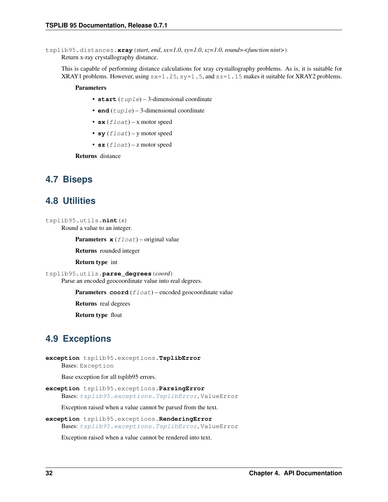<span id="page-35-5"></span>tsplib95.distances.**xray**(*start*, *end*, *sx=1.0*, *sy=1.0*, *sz=1.0*, *round=<function nint>*) Return x-ray crystallography distance.

This is capable of performing distance calculations for xray crystallography problems. As is, it is suitable for XRAY1 problems. However, using  $s = 1.25$ ,  $s = 1.5$ , and  $s = 1.15$  makes it suitable for XRAY2 problems.

#### **Parameters**

- start  $(tuple) 3$ -dimensional coordinate
- **end**  $(tuple) 3$ -dimensional coordinate
- $\mathbf{s} \mathbf{x}$  (*float*) x motor speed
- **sy**  $(f$ loat) y motor speed
- **sz**  $(f$ loat) z motor speed

Returns distance

### <span id="page-35-0"></span>**4.7 Biseps**

### <span id="page-35-1"></span>**4.8 Utilities**

```
tsplib95.utils.nint(x)
     Round a value to an integer.
```
**Parameters**  $\mathbf{x}$  (*float*) – original value

Returns rounded integer

Return type int

tsplib95.utils.**parse\_degrees**(*coord*) Parse an encoded geocoordinate value into real degrees.

Parameters **coord** (float) – encoded geocoordinate value

Returns real degrees

Return type float

### <span id="page-35-2"></span>**4.9 Exceptions**

```
exception tsplib95.exceptions.TsplibError
    Bases: Exception
```
Base exception for all tsplib95 errors.

```
exception tsplib95.exceptions.ParsingError
    Bases: tsplib95.exceptions.TsplibError, ValueError
```
Exception raised when a value cannot be parsed from the text.

```
exception tsplib95.exceptions.RenderingError
    Bases: tsplib95.exceptions.TsplibError, ValueError
```
Exception raised when a value cannot be rendered into text.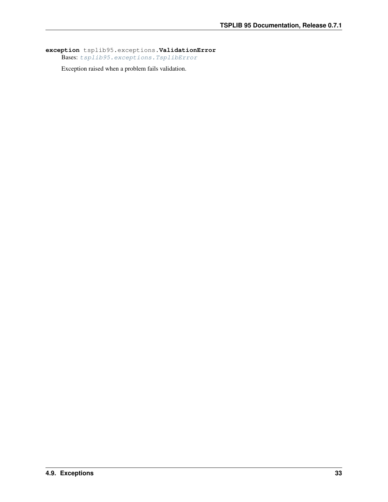**exception** tsplib95.exceptions.**ValidationError** Bases: [tsplib95.exceptions.TsplibError](#page-35-4)

Exception raised when a problem fails validation.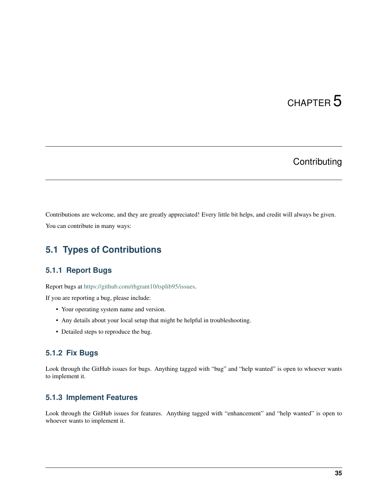# CHAPTER 5

# **Contributing**

<span id="page-38-0"></span>Contributions are welcome, and they are greatly appreciated! Every little bit helps, and credit will always be given. You can contribute in many ways:

## <span id="page-38-1"></span>**5.1 Types of Contributions**

### **5.1.1 Report Bugs**

Report bugs at [https://github.com/rhgrant10/tsplib95/issues.](https://github.com/rhgrant10/tsplib95/issues)

If you are reporting a bug, please include:

- Your operating system name and version.
- Any details about your local setup that might be helpful in troubleshooting.
- Detailed steps to reproduce the bug.

### **5.1.2 Fix Bugs**

Look through the GitHub issues for bugs. Anything tagged with "bug" and "help wanted" is open to whoever wants to implement it.

### **5.1.3 Implement Features**

Look through the GitHub issues for features. Anything tagged with "enhancement" and "help wanted" is open to whoever wants to implement it.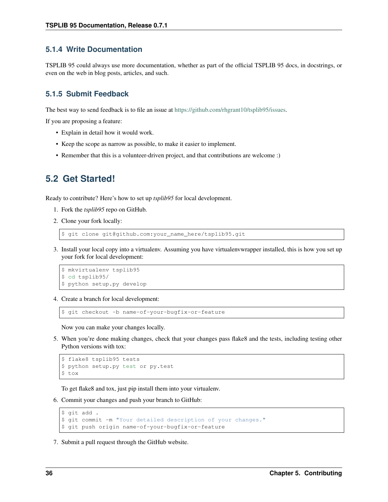### **5.1.4 Write Documentation**

TSPLIB 95 could always use more documentation, whether as part of the official TSPLIB 95 docs, in docstrings, or even on the web in blog posts, articles, and such.

### **5.1.5 Submit Feedback**

The best way to send feedback is to file an issue at [https://github.com/rhgrant10/tsplib95/issues.](https://github.com/rhgrant10/tsplib95/issues)

If you are proposing a feature:

- Explain in detail how it would work.
- Keep the scope as narrow as possible, to make it easier to implement.
- Remember that this is a volunteer-driven project, and that contributions are welcome :)

### <span id="page-39-0"></span>**5.2 Get Started!**

Ready to contribute? Here's how to set up *tsplib95* for local development.

- 1. Fork the *tsplib95* repo on GitHub.
- 2. Clone your fork locally:

\$ git clone git@github.com:your\_name\_here/tsplib95.git

3. Install your local copy into a virtualenv. Assuming you have virtualenvwrapper installed, this is how you set up your fork for local development:

```
$ mkvirtualenv tsplib95
$ cd tsplib95/
$ python setup.py develop
```
4. Create a branch for local development:

\$ git checkout -b name-of-your-bugfix-or-feature

Now you can make your changes locally.

5. When you're done making changes, check that your changes pass flake8 and the tests, including testing other Python versions with tox:

```
$ flake8 tsplib95 tests
$ python setup.py test or py.test
$ tox
```
To get flake8 and tox, just pip install them into your virtualenv.

6. Commit your changes and push your branch to GitHub:

```
$ git add .
$ git commit -m "Your detailed description of your changes."
$ git push origin name-of-your-bugfix-or-feature
```
7. Submit a pull request through the GitHub website.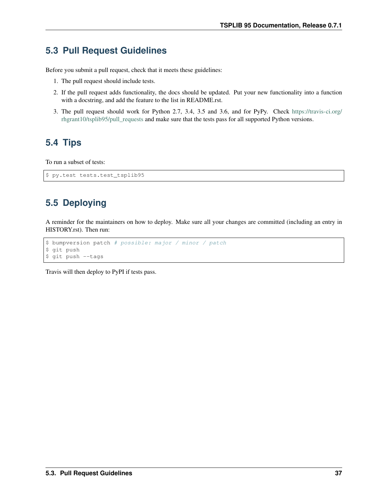# <span id="page-40-0"></span>**5.3 Pull Request Guidelines**

Before you submit a pull request, check that it meets these guidelines:

- 1. The pull request should include tests.
- 2. If the pull request adds functionality, the docs should be updated. Put your new functionality into a function with a docstring, and add the feature to the list in README.rst.
- 3. The pull request should work for Python 2.7, 3.4, 3.5 and 3.6, and for PyPy. Check [https://travis-ci.org/](https://travis-ci.org/rhgrant10/tsplib95/pull_requests) [rhgrant10/tsplib95/pull\\_requests](https://travis-ci.org/rhgrant10/tsplib95/pull_requests) and make sure that the tests pass for all supported Python versions.

# <span id="page-40-1"></span>**5.4 Tips**

To run a subset of tests:

```
$ py.test tests.test_tsplib95
```
# <span id="page-40-2"></span>**5.5 Deploying**

A reminder for the maintainers on how to deploy. Make sure all your changes are committed (including an entry in HISTORY.rst). Then run:

```
$ bumpversion patch # possible: major / minor / patch
$ git push
$ git push --tags
```
Travis will then deploy to PyPI if tests pass.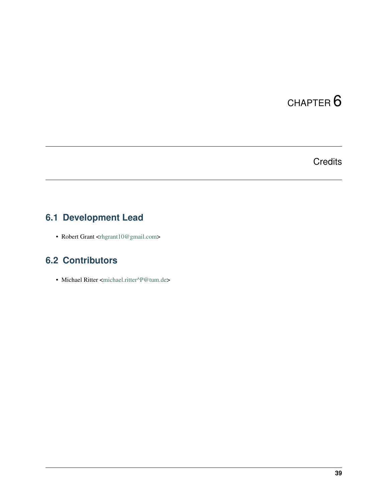# CHAPTER<sup>6</sup>

# **Credits**

# <span id="page-42-1"></span><span id="page-42-0"></span>**6.1 Development Lead**

• Robert Grant [<rhgrant10@gmail.com>](mailto:rhgrant10@gmail.com)

# <span id="page-42-2"></span>**6.2 Contributors**

• Michael Ritter [<michael.ritter^P@tum.de>](mailto:michael.ritter\T1\textasciicircum {}P@tum.de)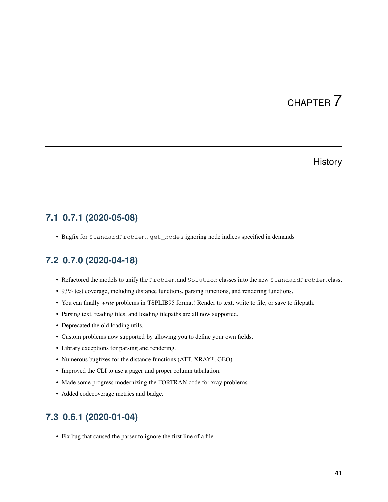# CHAPTER 7

### **History**

### <span id="page-44-1"></span><span id="page-44-0"></span>**7.1 0.7.1 (2020-05-08)**

• Bugfix for StandardProblem.get\_nodes ignoring node indices specified in demands

## <span id="page-44-2"></span>**7.2 0.7.0 (2020-04-18)**

- Refactored the models to unify the Problem and Solution classes into the new StandardProblem class.
- 93% test coverage, including distance functions, parsing functions, and rendering functions.
- You can finally *write* problems in TSPLIB95 format! Render to text, write to file, or save to filepath.
- Parsing text, reading files, and loading filepaths are all now supported.
- Deprecated the old loading utils.
- Custom problems now supported by allowing you to define your own fields.
- Library exceptions for parsing and rendering.
- Numerous bugfixes for the distance functions (ATT, XRAY\*, GEO).
- Improved the CLI to use a pager and proper column tabulation.
- Made some progress modernizing the FORTRAN code for xray problems.
- Added codecoverage metrics and badge.

## <span id="page-44-3"></span>**7.3 0.6.1 (2020-01-04)**

• Fix bug that caused the parser to ignore the first line of a file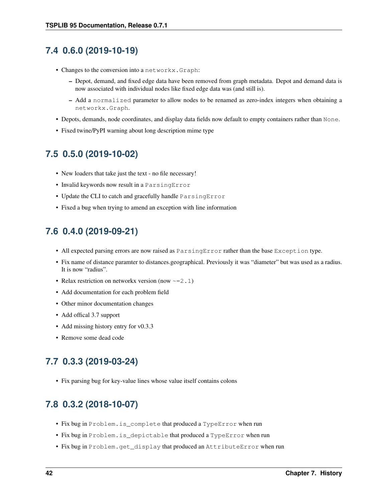## <span id="page-45-0"></span>**7.4 0.6.0 (2019-10-19)**

- Changes to the conversion into a networkx.Graph:
	- Depot, demand, and fixed edge data have been removed from graph metadata. Depot and demand data is now associated with individual nodes like fixed edge data was (and still is).
	- Add a normalized parameter to allow nodes to be renamed as zero-index integers when obtaining a networkx.Graph.
- Depots, demands, node coordinates, and display data fields now default to empty containers rather than None.
- Fixed twine/PyPI warning about long description mime type

## <span id="page-45-1"></span>**7.5 0.5.0 (2019-10-02)**

- New loaders that take just the text no file necessary!
- Invalid keywords now result in a ParsingError
- Update the CLI to catch and gracefully handle ParsingError
- Fixed a bug when trying to amend an exception with line information

# <span id="page-45-2"></span>**7.6 0.4.0 (2019-09-21)**

- All expected parsing errors are now raised as ParsingError rather than the base Exception type.
- Fix name of distance paramter to distances.geographical. Previously it was "diameter" but was used as a radius. It is now "radius".
- Relax restriction on networkx version (now  $\sim=2.1$ )
- Add documentation for each problem field
- Other minor documentation changes
- Add offical 3.7 support
- Add missing history entry for v0.3.3
- Remove some dead code

# <span id="page-45-3"></span>**7.7 0.3.3 (2019-03-24)**

• Fix parsing bug for key-value lines whose value itself contains colons

# <span id="page-45-4"></span>**7.8 0.3.2 (2018-10-07)**

- Fix bug in Problem.is\_complete that produced a TypeError when run
- Fix bug in Problem.is\_depictable that produced a TypeError when run
- Fix bug in Problem.get display that produced an AttributeError when run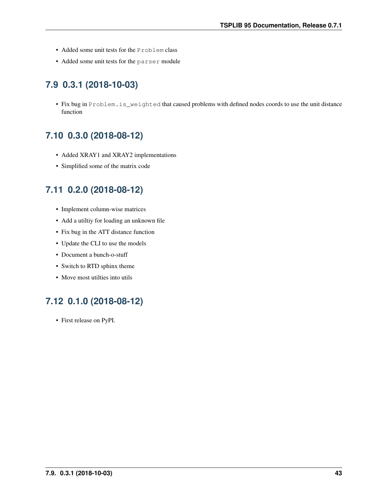- Added some unit tests for the Problem class
- Added some unit tests for the parser module

# <span id="page-46-0"></span>**7.9 0.3.1 (2018-10-03)**

• Fix bug in Problem.is\_weighted that caused problems with defined nodes coords to use the unit distance function

# <span id="page-46-1"></span>**7.10 0.3.0 (2018-08-12)**

- Added XRAY1 and XRAY2 implementations
- Simplified some of the matrix code

# <span id="page-46-2"></span>**7.11 0.2.0 (2018-08-12)**

- Implement column-wise matrices
- Add a utiltiy for loading an unknown file
- Fix bug in the ATT distance function
- Update the CLI to use the models
- Document a bunch-o-stuff
- Switch to RTD sphinx theme
- Move most utilties into utils

# <span id="page-46-3"></span>**7.12 0.1.0 (2018-08-12)**

• First release on PyPI.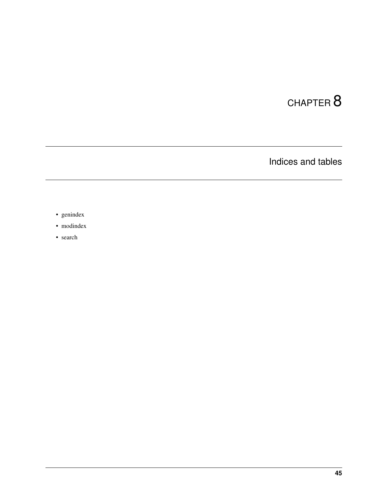# CHAPTER 8

Indices and tables

- <span id="page-48-0"></span>• genindex
- modindex
- search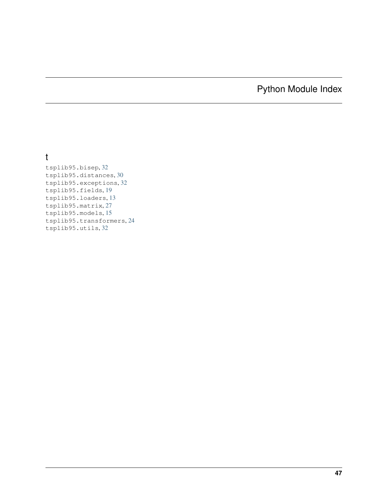# Python Module Index

## <span id="page-50-0"></span>t

tsplib95.bisep, [32](#page-35-0) tsplib95.distances, [30](#page-33-0) tsplib95.exceptions, [32](#page-35-2) tsplib95.fields, [19](#page-22-0) tsplib95.loaders, [13](#page-16-2) tsplib95.matrix, [27](#page-30-0) tsplib95.models, [15](#page-18-1) tsplib95.transformers, [24](#page-27-0) tsplib95.utils, [32](#page-35-1)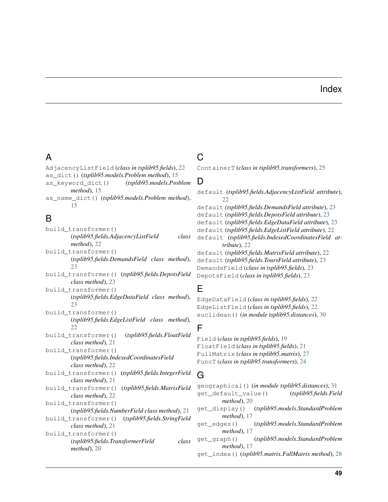### Index

## <span id="page-52-0"></span>A

AdjacencyListField (*class in tsplib95.fields*), [22](#page-25-0) as\_dict() (*tsplib95.models.Problem method*), [15](#page-18-2) as\_keyword\_dict() (*tsplib95.models.Problem method*), [15](#page-18-2)

as\_name\_dict() (*tsplib95.models.Problem method*), [15](#page-18-2)

# B

build\_transformer() (*tsplib95.fields.AdjacencyListField class method*), [22](#page-25-0) build\_transformer() (*tsplib95.fields.DemandsField class method*), [23](#page-26-0) build\_transformer() (*tsplib95.fields.DepotsField class method*), [23](#page-26-0) build\_transformer() (*tsplib95.fields.EdgeDataField class method*), [23](#page-26-0) build\_transformer() (*tsplib95.fields.EdgeListField class method*),  $22$ build\_transformer() (*tsplib95.fields.FloatField class method*), [21](#page-24-0) build\_transformer() (*tsplib95.fields.IndexedCoordinatesField class method*), [22](#page-25-0) build\_transformer() (*tsplib95.fields.IntegerField class method*), [21](#page-24-0) build\_transformer() (*tsplib95.fields.MatrixField class method*), [22](#page-25-0) build\_transformer() (*tsplib95.fields.NumberField class method*), [21](#page-24-0) build\_transformer() (*tsplib95.fields.StringField class method*), [21](#page-24-0) build\_transformer() (*tsplib95.fields.TransformerField class method*), [20](#page-23-2)

# C

ContainerT (*class in tsplib95.transformers*), [25](#page-28-1)

## D

default (*tsplib95.fields.AdjacencyListField attribute*),  $22$ default (*tsplib95.fields.DemandsField attribute*), [23](#page-26-0) default (*tsplib95.fields.DepotsField attribute*), [23](#page-26-0) default (*tsplib95.fields.EdgeDataField attribute*), [23](#page-26-0) default (*tsplib95.fields.EdgeListField attribute*), [22](#page-25-0) default (*tsplib95.fields.IndexedCoordinatesField attribute*), [22](#page-25-0) default (*tsplib95.fields.MatrixField attribute*), [22](#page-25-0) default (*tsplib95.fields.ToursField attribute*), [23](#page-26-0) DemandsField (*class in tsplib95.fields*), [23](#page-26-0) DepotsField (*class in tsplib95.fields*), [23](#page-26-0)

### E

EdgeDataField (*class in tsplib95.fields*), [22](#page-25-0) EdgeListField (*class in tsplib95.fields*), [22](#page-25-0) euclidean() (*in module tsplib95.distances*), [30](#page-33-3)

### F

Field (*class in tsplib95.fields*), [19](#page-22-5) FloatField (*class in tsplib95.fields*), [21](#page-24-0) FullMatrix (*class in tsplib95.matrix*), [27](#page-30-1) FuncT (*class in tsplib95.transformers*), [24](#page-27-2)

### G

geographical() (*in module tsplib95.distances*), [31](#page-34-0) get\_default\_value() (*tsplib95.fields.Field method*), [20](#page-23-2) get\_display() (*tsplib95.models.StandardProblem method*), [17](#page-20-3) get\_edges() (*tsplib95.models.StandardProblem method*), [17](#page-20-3) get\_graph() (*tsplib95.models.StandardProblem method*), [17](#page-20-3) get\_index() (*tsplib95.matrix.FullMatrix method*), [28](#page-31-2)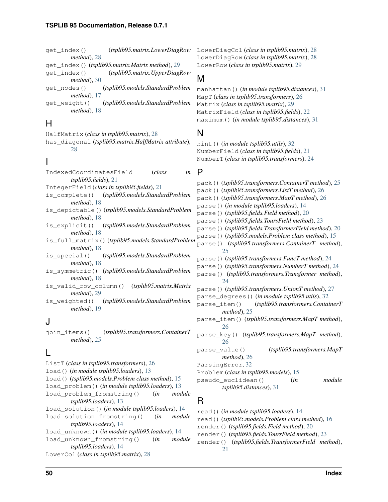get\_index() (*tsplib95.matrix.LowerDiagRow* LowerDiagCol (*class in tsplib95.matrix*), [28](#page-31-2) *method*), [28](#page-31-2) get\_index() (*tsplib95.matrix.Matrix method*), [29](#page-32-2) get\_index() (*tsplib95.matrix.UpperDiagRow method*), [30](#page-33-3) get\_nodes() (*tsplib95.models.StandardProblem method*), [17](#page-20-3) get\_weight() (*tsplib95.models.StandardProblem method*), [18](#page-21-7)

### H

HalfMatrix (*class in tsplib95.matrix*), [28](#page-31-2) has\_diagonal (*tsplib95.matrix.HalfMatrix attribute*), [28](#page-31-2)

### I

- IndexedCoordinatesField (*class in tsplib95.fields*), [21](#page-24-0) IntegerField (*class in tsplib95.fields*), [21](#page-24-0) is\_complete() (*tsplib95.models.StandardProblem method*), [18](#page-21-7) is\_depictable() (*tsplib95.models.StandardProblem method*), [18](#page-21-7) is\_explicit() (*tsplib95.models.StandardProblem method*), [18](#page-21-7) is\_full\_matrix() (*tsplib95.models.StandardProblem method*), [18](#page-21-7) is\_special() (*tsplib95.models.StandardProblem method*), [18](#page-21-7) is\_symmetric() (*tsplib95.models.StandardProblem method*), [18](#page-21-7)
- is\_valid\_row\_column() (*tsplib95.matrix.Matrix method*), [29](#page-32-2)
- is\_weighted() (*tsplib95.models.StandardProblem method*), [19](#page-22-5)

### J

join\_items() (*tsplib95.transformers.ContainerT method*), [25](#page-28-1)

# L

ListT (*class in tsplib95.transformers*), [26](#page-29-0) load() (*in module tsplib95.loaders*), [13](#page-16-4) load() (*tsplib95.models.Problem class method*), [15](#page-18-2) load\_problem() (*in module tsplib95.loaders*), [13](#page-16-4) load\_problem\_fromstring() (*in module tsplib95.loaders*), [13](#page-16-4) load\_solution() (*in module tsplib95.loaders*), [14](#page-17-2) load\_solution\_fromstring() (*in module tsplib95.loaders*), [14](#page-17-2) load\_unknown() (*in module tsplib95.loaders*), [14](#page-17-2) load\_unknown\_fromstring() (*in module tsplib95.loaders*), [14](#page-17-2) LowerCol (*class in tsplib95.matrix*), [28](#page-31-2)

LowerDiagRow (*class in tsplib95.matrix*), [28](#page-31-2) LowerRow (*class in tsplib95.matrix*), [29](#page-32-2)

### M

manhattan() (*in module tsplib95.distances*), [31](#page-34-0) MapT (*class in tsplib95.transformers*), [26](#page-29-0) Matrix (*class in tsplib95.matrix*), [29](#page-32-2) MatrixField (*class in tsplib95.fields*), [22](#page-25-0) maximum() (*in module tsplib95.distances*), [31](#page-34-0)

### N

nint() (*in module tsplib95.utils*), [32](#page-35-5) NumberField (*class in tsplib95.fields*), [21](#page-24-0) NumberT (*class in tsplib95.transformers*), [24](#page-27-2)

### P

pack() (*tsplib95.transformers.ContainerT method*), [25](#page-28-1) pack() (*tsplib95.transformers.ListT method*), [26](#page-29-0) pack() (*tsplib95.transformers.MapT method*), [26](#page-29-0) parse() (*in module tsplib95.loaders*), [14](#page-17-2) parse() (*tsplib95.fields.Field method*), [20](#page-23-2) parse() (*tsplib95.fields.ToursField method*), [23](#page-26-0) parse() (*tsplib95.fields.TransformerField method*), [20](#page-23-2) parse() (*tsplib95.models.Problem class method*), [15](#page-18-2) parse() (*tsplib95.transformers.ContainerT method*), [25](#page-28-1) parse() (*tsplib95.transformers.FuncT method*), [24](#page-27-2) parse() (*tsplib95.transformers.NumberT method*), [24](#page-27-2) parse() (*tsplib95.transformers.Transformer method*), [24](#page-27-2) parse() (*tsplib95.transformers.UnionT method*), [27](#page-30-1) parse\_degrees() (*in module tsplib95.utils*), [32](#page-35-5) parse\_item() (*tsplib95.transformers.ContainerT method*), [25](#page-28-1) parse\_item() (*tsplib95.transformers.MapT method*), [26](#page-29-0) parse\_key() (*tsplib95.transformers.MapT method*), [26](#page-29-0) parse\_value() (*tsplib95.transformers.MapT method*), [26](#page-29-0) ParsingError, [32](#page-35-5) Problem (*class in tsplib95.models*), [15](#page-18-2) pseudo\_euclidean() (*in module tsplib95.distances*), [31](#page-34-0) R

read() (*in module tsplib95.loaders*), [14](#page-17-2) read() (*tsplib95.models.Problem class method*), [16](#page-19-1) render() (*tsplib95.fields.Field method*), [20](#page-23-2) render() (*tsplib95.fields.ToursField method*), [23](#page-26-0) render() (*tsplib95.fields.TransformerField method*), [21](#page-24-0)